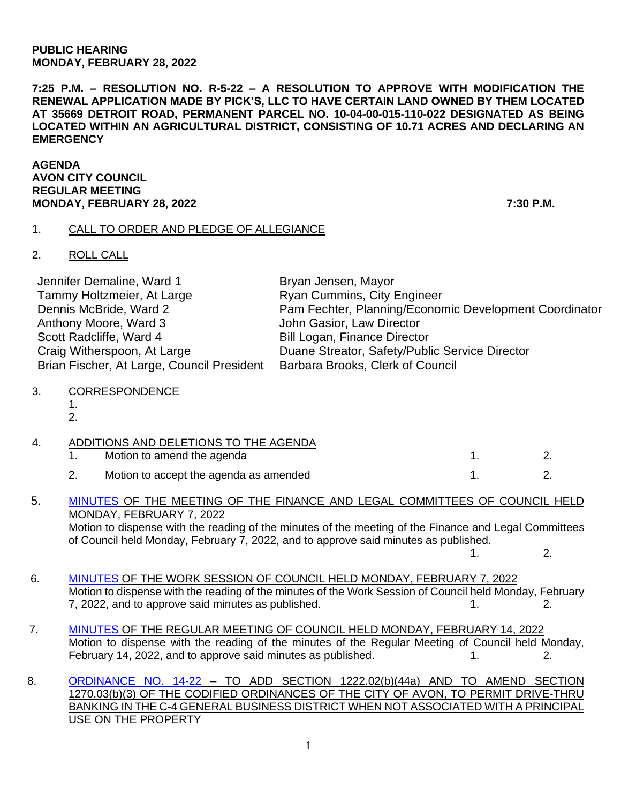#### **PUBLIC HEARING MONDAY, FEBRUARY 28, 2022**

**7:25 P.M. – RESOLUTION NO. R-5-22 – A RESOLUTION TO APPROVE WITH MODIFICATION THE RENEWAL APPLICATION MADE BY PICK'S, LLC TO HAVE CERTAIN LAND OWNED BY THEM LOCATED AT 35669 DETROIT ROAD, PERMANENT PARCEL NO. 10-04-00-015-110-022 DESIGNATED AS BEING LOCATED WITHIN AN AGRICULTURAL DISTRICT, CONSISTING OF 10.71 ACRES AND DECLARING AN EMERGENCY**

**AGENDA AVON CITY COUNCIL REGULAR MEETING MONDAY, FEBRUARY 28, 2022 7:30 P.M.**

## 1. CALL TO ORDER AND PLEDGE OF ALLEGIANCE

# 2. ROLL CALL

| Jennifer Demaline, Ward 1                  | Bryan Jensen, Mayor                                    |
|--------------------------------------------|--------------------------------------------------------|
| Tammy Holtzmeier, At Large                 | <b>Ryan Cummins, City Engineer</b>                     |
| Dennis McBride, Ward 2                     | Pam Fechter, Planning/Economic Development Coordinator |
| Anthony Moore, Ward 3                      | John Gasior, Law Director                              |
| Scott Radcliffe, Ward 4                    | <b>Bill Logan, Finance Director</b>                    |
| Craig Witherspoon, At Large                | Duane Streator, Safety/Public Service Director         |
| Brian Fischer, At Large, Council President | Barbara Brooks, Clerk of Council                       |

## 3. CORRESPONDENCE

1.

2.

|  | ADDITIONS AND DELETIONS TO THE AGENDA  |  |
|--|----------------------------------------|--|
|  | Motion to amend the agenda             |  |
|  | Motion to accept the agenda as amended |  |

### 5. [MINUTES](https://www.cityofavon.com/AgendaCenter/ViewFile/Minutes/_02072022-1050) OF THE MEETING OF THE FINANCE AND LEGAL COMMITTEES OF COUNCIL HELD MONDAY, FEBRUARY 7, 2022 Motion to dispense with the reading of the minutes of the meeting of the Finance and Legal Committees

of Council held Monday, February 7, 2022, and to approve said minutes as published.  $1. 2.$ 

- 6. [MINUTES](https://www.cityofavon.com/AgendaCenter/ViewFile/Minutes/_02072022-1063) OF THE WORK SESSION OF COUNCIL HELD MONDAY, FEBRUARY 7, 2022 Motion to dispense with the reading of the minutes of the Work Session of Council held Monday, February 7, 2022, and to approve said minutes as published. The same state of the same state of the same state of the s
- 7. [MINUTES](https://www.cityofavon.com/AgendaCenter/ViewFile/Minutes/_02142022-1065) OF THE REGULAR MEETING OF COUNCIL HELD MONDAY, FEBRUARY 14, 2022 Motion to dispense with the reading of the minutes of the Regular Meeting of Council held Monday, February 14, 2022, and to approve said minutes as published. 1. 2.
- 8. [ORDINANCE NO. 14-22](https://www.cityofavon.com/DocumentCenter/View/7612/Ordinance-No-14-22-Drive-thru-Teller-Legislation) TO ADD SECTION 1222.02(b)(44a) AND TO AMEND SECTION 1270.03(b)(3) OF THE CODIFIED ORDINANCES OF THE CITY OF AVON, TO PERMIT DRIVE-THRU BANKING IN THE C-4 GENERAL BUSINESS DISTRICT WHEN NOT ASSOCIATED WITH A PRINCIPAL USE ON THE PROPERTY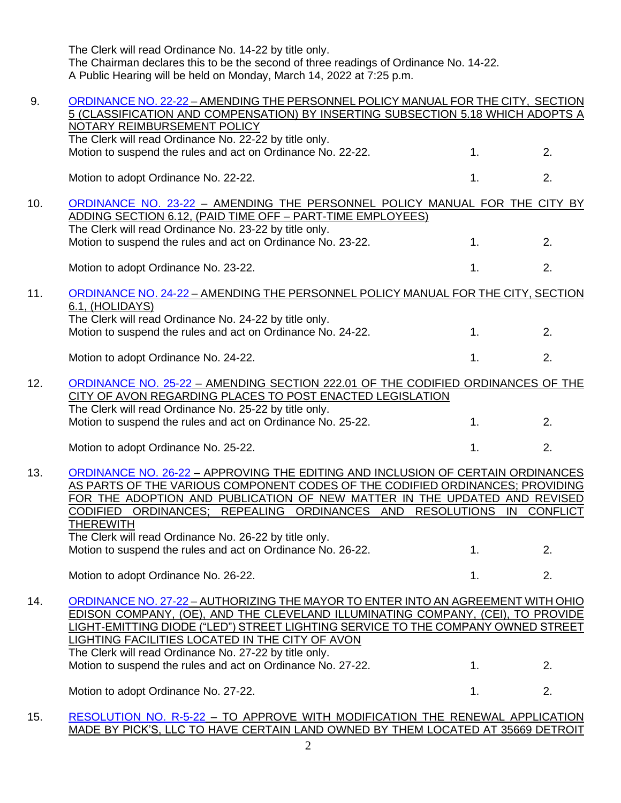The Clerk will read Ordinance No. 14-22 by title only. The Chairman declares this to be the second of three readings of Ordinance No. 14-22. A Public Hearing will be held on Monday, March 14, 2022 at 7:25 p.m.

| 9.  | ORDINANCE NO. 22-22 - AMENDING THE PERSONNEL POLICY MANUAL FOR THE CITY, SECTION<br>5 (CLASSIFICATION AND COMPENSATION) BY INSERTING SUBSECTION 5.18 WHICH ADOPTS A |                  |    |
|-----|---------------------------------------------------------------------------------------------------------------------------------------------------------------------|------------------|----|
|     | NOTARY REIMBURSEMENT POLICY                                                                                                                                         |                  |    |
|     | The Clerk will read Ordinance No. 22-22 by title only.                                                                                                              |                  |    |
|     | Motion to suspend the rules and act on Ordinance No. 22-22.                                                                                                         | 1 <sub>1</sub>   | 2. |
|     | Motion to adopt Ordinance No. 22-22.                                                                                                                                | 1.               | 2. |
| 10. | ORDINANCE NO. 23-22 - AMENDING THE PERSONNEL POLICY MANUAL FOR THE CITY BY                                                                                          |                  |    |
|     | ADDING SECTION 6.12, (PAID TIME OFF - PART-TIME EMPLOYEES)                                                                                                          |                  |    |
|     | The Clerk will read Ordinance No. 23-22 by title only.                                                                                                              |                  |    |
|     | Motion to suspend the rules and act on Ordinance No. 23-22.                                                                                                         | 1.               | 2. |
|     | Motion to adopt Ordinance No. 23-22.                                                                                                                                | 1.               | 2. |
| 11. | ORDINANCE NO. 24-22 - AMENDING THE PERSONNEL POLICY MANUAL FOR THE CITY, SECTION                                                                                    |                  |    |
|     | 6.1, (HOLIDAYS)                                                                                                                                                     |                  |    |
|     | The Clerk will read Ordinance No. 24-22 by title only.                                                                                                              |                  |    |
|     | Motion to suspend the rules and act on Ordinance No. 24-22.                                                                                                         | 1.               | 2. |
|     | Motion to adopt Ordinance No. 24-22.                                                                                                                                | 1.               | 2. |
| 12. | ORDINANCE NO. 25-22 - AMENDING SECTION 222.01 OF THE CODIFIED ORDINANCES OF THE                                                                                     |                  |    |
|     | CITY OF AVON REGARDING PLACES TO POST ENACTED LEGISLATION                                                                                                           |                  |    |
|     | The Clerk will read Ordinance No. 25-22 by title only.                                                                                                              |                  |    |
|     | Motion to suspend the rules and act on Ordinance No. 25-22.                                                                                                         | 1.               | 2. |
|     | Motion to adopt Ordinance No. 25-22.                                                                                                                                | 1.               | 2. |
|     |                                                                                                                                                                     |                  |    |
| 13. | ORDINANCE NO. 26-22 - APPROVING THE EDITING AND INCLUSION OF CERTAIN ORDINANCES<br>AS PARTS OF THE VARIOUS COMPONENT CODES OF THE CODIFIED ORDINANCES; PROVIDING    |                  |    |
|     | FOR THE ADOPTION AND PUBLICATION OF NEW MATTER IN THE UPDATED AND REVISED                                                                                           |                  |    |
|     | CODIFIED ORDINANCES; REPEALING ORDINANCES AND RESOLUTIONS IN CONFLICT                                                                                               |                  |    |
|     | <b>THEREWITH</b>                                                                                                                                                    |                  |    |
|     | The Clerk will read Ordinance No. 26-22 by title only.                                                                                                              |                  |    |
|     | Motion to suspend the rules and act on Ordinance No. 26-22.                                                                                                         | $\overline{1}$ . | 2. |
|     | Motion to adopt Ordinance No. 26-22.                                                                                                                                | 1.               | 2. |
| 14. | ORDINANCE NO. 27-22 - AUTHORIZING THE MAYOR TO ENTER INTO AN AGREEMENT WITH OHIO                                                                                    |                  |    |
|     | EDISON COMPANY, (OE), AND THE CLEVELAND ILLUMINATING COMPANY, (CEI), TO PROVIDE                                                                                     |                  |    |
|     | LIGHT-EMITTING DIODE ("LED") STREET LIGHTING SERVICE TO THE COMPANY OWNED STREET                                                                                    |                  |    |
|     | <b>LIGHTING FACILITIES LOCATED IN THE CITY OF AVON</b>                                                                                                              |                  |    |
|     | The Clerk will read Ordinance No. 27-22 by title only.                                                                                                              |                  |    |
|     | Motion to suspend the rules and act on Ordinance No. 27-22.                                                                                                         | 1.               | 2. |
|     | Motion to adopt Ordinance No. 27-22.                                                                                                                                | 1 <sub>1</sub>   | 2. |
| 15. | RESOLUTION NO. R-5-22 - TO APPROVE WITH MODIFICATION THE RENEWAL APPLICATION                                                                                        |                  |    |
|     | MADE BY PICK'S, LLC TO HAVE CERTAIN LAND OWNED BY THEM LOCATED AT 35669 DETROIT                                                                                     |                  |    |

2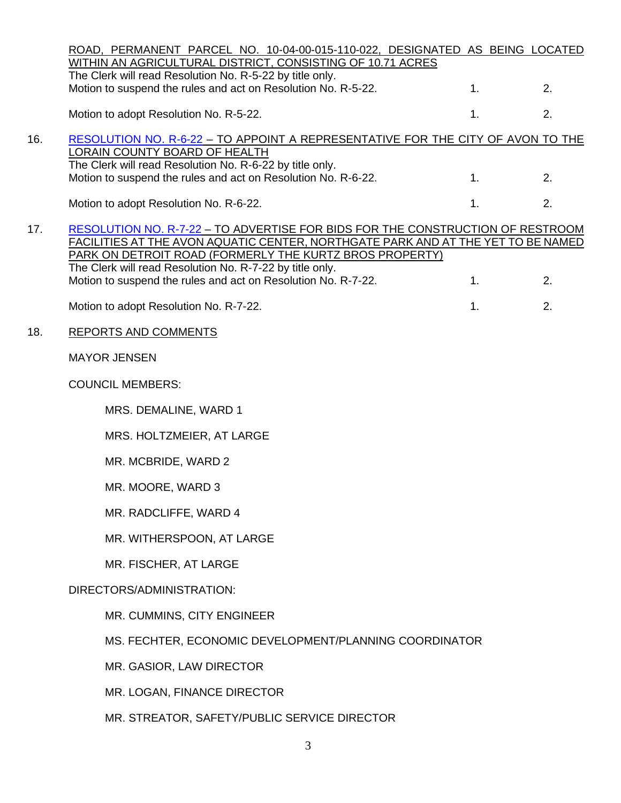|     | ROAD, PERMANENT PARCEL NO. 10-04-00-015-110-022, DESIGNATED AS BEING LOCATED<br>WITHIN AN AGRICULTURAL DISTRICT, CONSISTING OF 10.71 ACRES                                                                                                                                                                                                                 |  |    |    |  |  |
|-----|------------------------------------------------------------------------------------------------------------------------------------------------------------------------------------------------------------------------------------------------------------------------------------------------------------------------------------------------------------|--|----|----|--|--|
|     | The Clerk will read Resolution No. R-5-22 by title only.<br>Motion to suspend the rules and act on Resolution No. R-5-22.                                                                                                                                                                                                                                  |  | 1. | 2. |  |  |
|     | Motion to adopt Resolution No. R-5-22.                                                                                                                                                                                                                                                                                                                     |  | 1. | 2. |  |  |
| 16. | RESOLUTION NO. R-6-22 - TO APPOINT A REPRESENTATIVE FOR THE CITY OF AVON TO THE<br><b>LORAIN COUNTY BOARD OF HEALTH</b>                                                                                                                                                                                                                                    |  |    |    |  |  |
|     | The Clerk will read Resolution No. R-6-22 by title only.<br>Motion to suspend the rules and act on Resolution No. R-6-22.                                                                                                                                                                                                                                  |  | 1. | 2. |  |  |
|     | Motion to adopt Resolution No. R-6-22.                                                                                                                                                                                                                                                                                                                     |  | 1. | 2. |  |  |
| 17. | RESOLUTION NO. R-7-22 - TO ADVERTISE FOR BIDS FOR THE CONSTRUCTION OF RESTROOM<br>FACILITIES AT THE AVON AQUATIC CENTER, NORTHGATE PARK AND AT THE YET TO BE NAMED<br>PARK ON DETROIT ROAD (FORMERLY THE KURTZ BROS PROPERTY)<br>The Clerk will read Resolution No. R-7-22 by title only.<br>Motion to suspend the rules and act on Resolution No. R-7-22. |  | 1. | 2. |  |  |
|     | Motion to adopt Resolution No. R-7-22.                                                                                                                                                                                                                                                                                                                     |  | 1. | 2. |  |  |
| 18. | <b>REPORTS AND COMMENTS</b>                                                                                                                                                                                                                                                                                                                                |  |    |    |  |  |
|     | <b>MAYOR JENSEN</b>                                                                                                                                                                                                                                                                                                                                        |  |    |    |  |  |
|     | <b>COUNCIL MEMBERS:</b>                                                                                                                                                                                                                                                                                                                                    |  |    |    |  |  |
|     | MRS. DEMALINE, WARD 1                                                                                                                                                                                                                                                                                                                                      |  |    |    |  |  |
|     | MRS. HOLTZMEIER, AT LARGE                                                                                                                                                                                                                                                                                                                                  |  |    |    |  |  |
|     | MR. MCBRIDE, WARD 2                                                                                                                                                                                                                                                                                                                                        |  |    |    |  |  |
|     | MR. MOORE, WARD 3                                                                                                                                                                                                                                                                                                                                          |  |    |    |  |  |
|     | MR. RADCLIFFE, WARD 4                                                                                                                                                                                                                                                                                                                                      |  |    |    |  |  |
|     | MR. WITHERSPOON, AT LARGE                                                                                                                                                                                                                                                                                                                                  |  |    |    |  |  |
|     | MR. FISCHER, AT LARGE                                                                                                                                                                                                                                                                                                                                      |  |    |    |  |  |
|     | DIRECTORS/ADMINISTRATION:                                                                                                                                                                                                                                                                                                                                  |  |    |    |  |  |
|     | MR. CUMMINS, CITY ENGINEER                                                                                                                                                                                                                                                                                                                                 |  |    |    |  |  |
|     | MS. FECHTER, ECONOMIC DEVELOPMENT/PLANNING COORDINATOR                                                                                                                                                                                                                                                                                                     |  |    |    |  |  |
|     | MR. GASIOR, LAW DIRECTOR                                                                                                                                                                                                                                                                                                                                   |  |    |    |  |  |
|     | MR. LOGAN, FINANCE DIRECTOR                                                                                                                                                                                                                                                                                                                                |  |    |    |  |  |
|     | MR. STREATOR, SAFETY/PUBLIC SERVICE DIRECTOR                                                                                                                                                                                                                                                                                                               |  |    |    |  |  |
|     | 3                                                                                                                                                                                                                                                                                                                                                          |  |    |    |  |  |